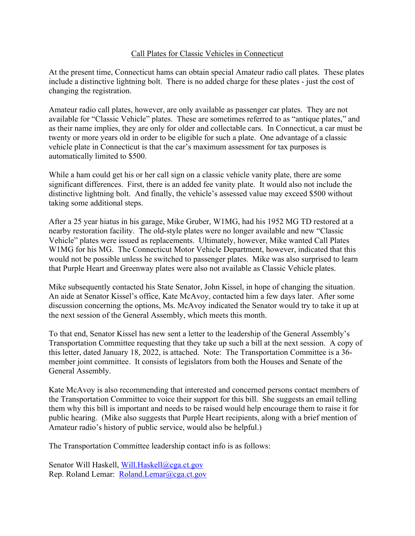## Call Plates for Classic Vehicles in Connecticut

At the present time, Connecticut hams can obtain special Amateur radio call plates. These plates include a distinctive lightning bolt. There is no added charge for these plates - just the cost of changing the registration.

Amateur radio call plates, however, are only available as passenger car plates. They are not available for "Classic Vehicle" plates. These are sometimes referred to as "antique plates," and as their name implies, they are only for older and collectable cars. In Connecticut, a car must be twenty or more years old in order to be eligible for such a plate. One advantage of a classic vehicle plate in Connecticut is that the car's maximum assessment for tax purposes is automatically limited to \$500.

While a ham could get his or her call sign on a classic vehicle vanity plate, there are some significant differences. First, there is an added fee vanity plate. It would also not include the distinctive lightning bolt. And finally, the vehicle's assessed value may exceed \$500 without taking some additional steps.

After a 25 year hiatus in his garage, Mike Gruber, W1MG, had his 1952 MG TD restored at a nearby restoration facility. The old-style plates were no longer available and new "Classic Vehicle" plates were issued as replacements. Ultimately, however, Mike wanted Call Plates W1MG for his MG. The Connecticut Motor Vehicle Department, however, indicated that this would not be possible unless he switched to passenger plates. Mike was also surprised to learn that Purple Heart and Greenway plates were also not available as Classic Vehicle plates.

Mike subsequently contacted his State Senator, John Kissel, in hope of changing the situation. An aide at Senator Kissel's office, Kate McAvoy, contacted him a few days later. After some discussion concerning the options, Ms. McAvoy indicated the Senator would try to take it up at the next session of the General Assembly, which meets this month.

To that end, Senator Kissel has new sent a letter to the leadership of the General Assembly's Transportation Committee requesting that they take up such a bill at the next session. A copy of this letter, dated January 18, 2022, is attached. Note: The Transportation Committee is a 36 member joint committee. It consists of legislators from both the Houses and Senate of the General Assembly.

Kate McAvoy is also recommending that interested and concerned persons contact members of the Transportation Committee to voice their support for this bill. She suggests an email telling them why this bill is important and needs to be raised would help encourage them to raise it for public hearing. (Mike also suggests that Purple Heart recipients, along with a brief mention of Amateur radio's history of public service, would also be helpful.)

The Transportation Committee leadership contact info is as follows:

Senator Will Haskell, Will.Haskell@cga.ct.gov Rep. Roland Lemar: Roland.Lemar@cga.ct.gov